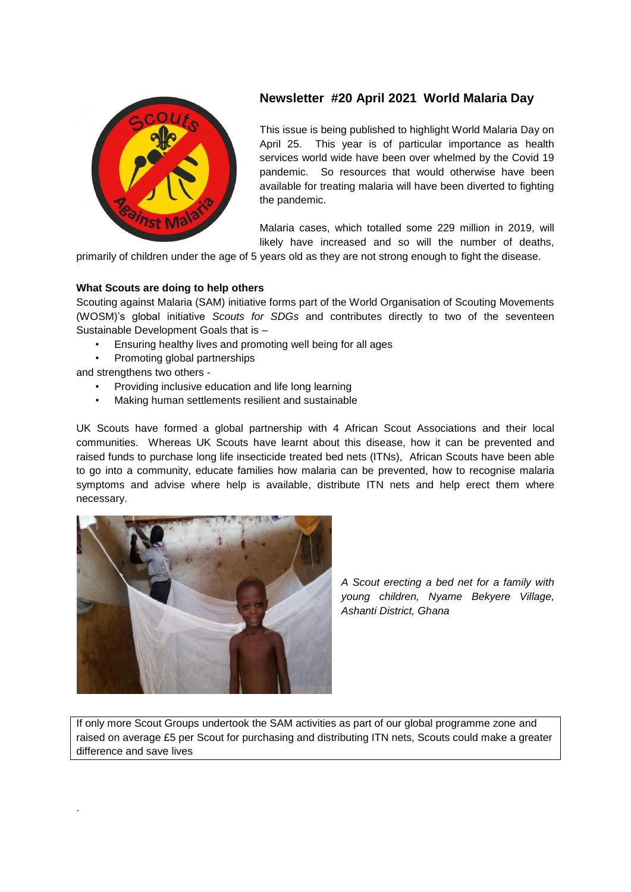

# **Newsletter #20 April 2021 World Malaria Day**

This issue is being published to highlight World Malaria Day on April 25. This year is of particular importance as health services world wide have been over whelmed by the Covid 19 pandemic. So resources that would otherwise have been available for treating malaria will have been diverted to fighting the pandemic.

Malaria cases, which totalled some 229 million in 2019, will likely have increased and so will the number of deaths,

primarily of children under the age of 5 years old as they are not strong enough to fight the disease.

## **What Scouts are doing to help others**

Scouting against Malaria (SAM) initiative forms part of the World Organisation of Scouting Movements (WOSM)'s global initiative *Scouts for SDGs* and contributes directly to two of the seventeen Sustainable Development Goals that is –

- Ensuring healthy lives and promoting well being for all ages
- Promoting global partnerships

and strengthens two others -

.

- Providing inclusive education and life long learning
- Making human settlements resilient and sustainable

UK Scouts have formed a global partnership with 4 African Scout Associations and their local communities. Whereas UK Scouts have learnt about this disease, how it can be prevented and raised funds to purchase long life insecticide treated bed nets (ITNs), African Scouts have been able to go into a community, educate families how malaria can be prevented, how to recognise malaria symptoms and advise where help is available, distribute ITN nets and help erect them where necessary.



*A Scout erecting a bed net for a family with young children, Nyame Bekyere Village, Ashanti District, Ghana*

If only more Scout Groups undertook the SAM activities as part of our global programme zone and raised on average £5 per Scout for purchasing and distributing ITN nets, Scouts could make a greater difference and save lives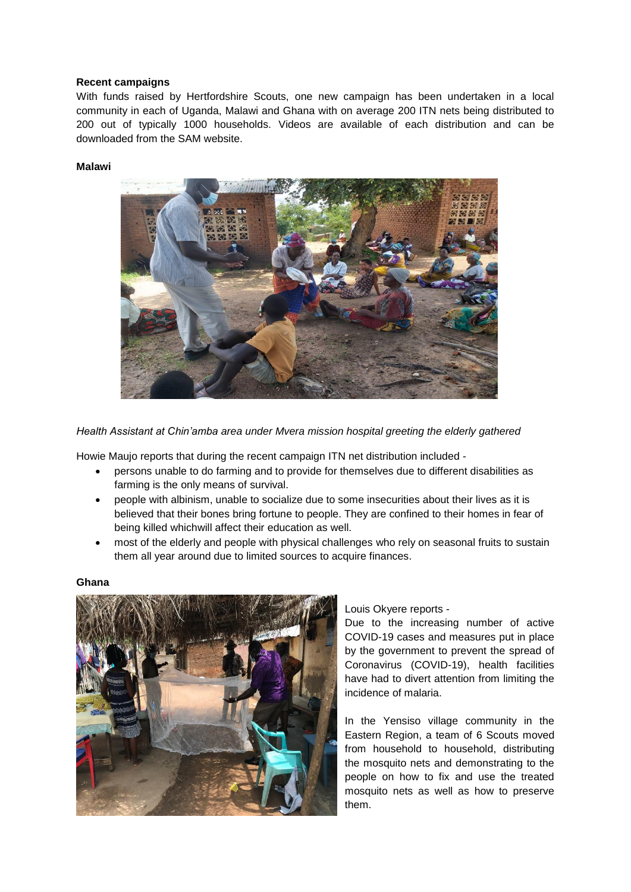## **Recent campaigns**

With funds raised by Hertfordshire Scouts, one new campaign has been undertaken in a local community in each of Uganda, Malawi and Ghana with on average 200 ITN nets being distributed to 200 out of typically 1000 households. Videos are available of each distribution and can be downloaded from the SAM website.

## **Malawi**



*Health Assistant at Chin'amba area under Mvera mission hospital greeting the elderly gathered*

Howie Maujo reports that during the recent campaign ITN net distribution included -

- persons unable to do farming and to provide for themselves due to different disabilities as farming is the only means of survival.
- people with albinism, unable to socialize due to some insecurities about their lives as it is believed that their bones bring fortune to people. They are confined to their homes in fear of being killed whichwill affect their education as well.
- most of the elderly and people with physical challenges who rely on seasonal fruits to sustain them all year around due to limited sources to acquire finances.

#### **Ghana**



Louis Okyere reports -

Due to the increasing number of active COVID-19 cases and measures put in place by the government to prevent the spread of Coronavirus (COVID-19), health facilities have had to divert attention from limiting the incidence of malaria.

In the Yensiso village community in the Eastern Region, a team of 6 Scouts moved from household to household, distributing the mosquito nets and demonstrating to the people on how to fix and use the treated mosquito nets as well as how to preserve them.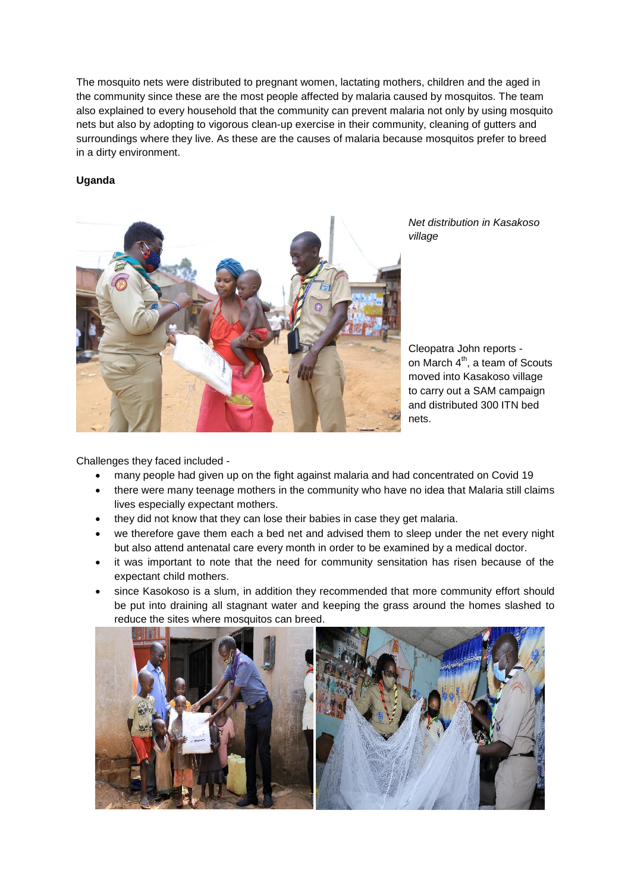The mosquito nets were distributed to pregnant women, lactating mothers, children and the aged in the community since these are the most people affected by malaria caused by mosquitos. The team also explained to every household that the community can prevent malaria not only by using mosquito nets but also by adopting to vigorous clean-up exercise in their community, cleaning of gutters and surroundings where they live. As these are the causes of malaria because mosquitos prefer to breed in a dirty environment.

## **Uganda**



*Net distribution in Kasakoso village*

Cleopatra John reports on March  $4<sup>th</sup>$ , a team of Scouts moved into Kasakoso village to carry out a SAM campaign and distributed 300 ITN bed nets.

Challenges they faced included -

- many people had given up on the fight against malaria and had concentrated on Covid 19
- there were many teenage mothers in the community who have no idea that Malaria still claims lives especially expectant mothers.
- they did not know that they can lose their babies in case they get malaria.
- we therefore gave them each a bed net and advised them to sleep under the net every night but also attend antenatal care every month in order to be examined by a medical doctor.
- it was important to note that the need for community sensitation has risen because of the expectant child mothers.
- since Kasokoso is a slum, in addition they recommended that more community effort should be put into draining all stagnant water and keeping the grass around the homes slashed to reduce the sites where mosquitos can breed.